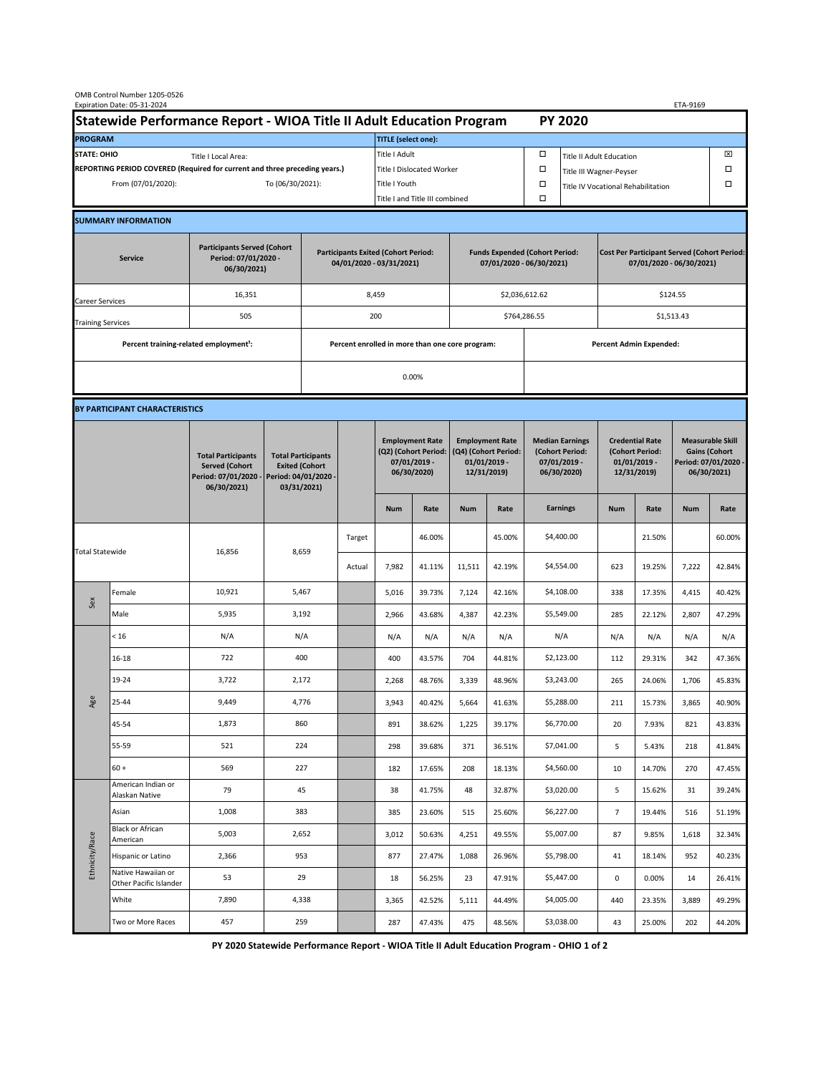| OMB Control Number 1205-0526<br>Expiration Date: 05-31-2024<br>ETA-9169                     |                                                    |                                                                                           |                                                                                           |                                                                        |                           |                                                                               |               |                                                                                 |                                |                                                                            |                                    |                                                                                |        |                                                                                        |        |  |
|---------------------------------------------------------------------------------------------|----------------------------------------------------|-------------------------------------------------------------------------------------------|-------------------------------------------------------------------------------------------|------------------------------------------------------------------------|---------------------------|-------------------------------------------------------------------------------|---------------|---------------------------------------------------------------------------------|--------------------------------|----------------------------------------------------------------------------|------------------------------------|--------------------------------------------------------------------------------|--------|----------------------------------------------------------------------------------------|--------|--|
| Statewide Performance Report - WIOA Title II Adult Education Program                        |                                                    |                                                                                           |                                                                                           |                                                                        |                           |                                                                               |               |                                                                                 |                                |                                                                            | <b>PY 2020</b>                     |                                                                                |        |                                                                                        |        |  |
| <b>PROGRAM</b>                                                                              |                                                    |                                                                                           |                                                                                           |                                                                        |                           | <b>TITLE</b> (select one):                                                    |               |                                                                                 |                                |                                                                            |                                    |                                                                                |        |                                                                                        |        |  |
| <b>STATE: OHIO</b><br>Title I Local Area:                                                   |                                                    |                                                                                           |                                                                                           |                                                                        |                           | Title I Adult                                                                 |               |                                                                                 |                                | □<br><b>Title II Adult Education</b>                                       |                                    |                                                                                |        |                                                                                        | ⊠      |  |
| REPORTING PERIOD COVERED (Required for current and three preceding years.)                  |                                                    |                                                                                           |                                                                                           |                                                                        | Title I Dislocated Worker |                                                                               |               |                                                                                 |                                | Ω                                                                          | Title III Wagner-Peyser            |                                                                                |        |                                                                                        |        |  |
| From (07/01/2020):                                                                          |                                                    |                                                                                           |                                                                                           | To (06/30/2021):                                                       |                           |                                                                               | Title I Youth |                                                                                 |                                | $\Box$                                                                     | Title IV Vocational Rehabilitation |                                                                                |        |                                                                                        | □      |  |
|                                                                                             |                                                    |                                                                                           |                                                                                           |                                                                        |                           | Title I and Title III combined                                                |               |                                                                                 |                                | Ω                                                                          |                                    |                                                                                |        |                                                                                        |        |  |
|                                                                                             | <b>SUMMARY INFORMATION</b>                         |                                                                                           |                                                                                           |                                                                        |                           |                                                                               |               |                                                                                 |                                |                                                                            |                                    |                                                                                |        |                                                                                        |        |  |
| <b>Participants Served (Cohort</b><br>Period: 07/01/2020 -<br><b>Service</b><br>06/30/2021) |                                                    |                                                                                           |                                                                                           | <b>Participants Exited (Cohort Period:</b><br>04/01/2020 - 03/31/2021) |                           |                                                                               |               | <b>Funds Expended (Cohort Period:</b><br>07/01/2020 - 06/30/2021)               |                                |                                                                            |                                    | <b>Cost Per Participant Served (Cohort Period:</b><br>07/01/2020 - 06/30/2021) |        |                                                                                        |        |  |
| Career Services                                                                             |                                                    | 16,351                                                                                    |                                                                                           |                                                                        |                           | 8,459                                                                         |               |                                                                                 |                                | \$2,036,612.62                                                             |                                    | \$124.55                                                                       |        |                                                                                        |        |  |
| <b>Training Services</b>                                                                    |                                                    | 505                                                                                       |                                                                                           | 200                                                                    |                           |                                                                               |               |                                                                                 |                                | \$764,286.55                                                               |                                    | \$1,513.43                                                                     |        |                                                                                        |        |  |
|                                                                                             | Percent training-related employment <sup>1</sup> : |                                                                                           | Percent enrolled in more than one core program:                                           |                                                                        |                           |                                                                               |               |                                                                                 | <b>Percent Admin Expended:</b> |                                                                            |                                    |                                                                                |        |                                                                                        |        |  |
|                                                                                             |                                                    |                                                                                           |                                                                                           |                                                                        |                           | 0.00%                                                                         |               |                                                                                 |                                |                                                                            |                                    |                                                                                |        |                                                                                        |        |  |
|                                                                                             |                                                    |                                                                                           |                                                                                           |                                                                        |                           |                                                                               |               |                                                                                 |                                |                                                                            |                                    |                                                                                |        |                                                                                        |        |  |
| BY PARTICIPANT CHARACTERISTICS                                                              |                                                    |                                                                                           |                                                                                           |                                                                        |                           |                                                                               |               |                                                                                 |                                |                                                                            |                                    |                                                                                |        |                                                                                        |        |  |
|                                                                                             |                                                    | <b>Total Participants</b><br><b>Served (Cohort</b><br>Period: 07/01/2020 -<br>06/30/2021) | <b>Total Participants</b><br><b>Exited (Cohort</b><br>Period: 04/01/2020 -<br>03/31/2021) |                                                                        |                           | <b>Employment Rate</b><br>(Q2) (Cohort Period:<br>07/01/2019 -<br>06/30/2020) |               | <b>Employment Rate</b><br>(Q4) (Cohort Period:<br>$01/01/2019$ -<br>12/31/2019) |                                | <b>Median Earnings</b><br>(Cohort Period:<br>$07/01/2019 -$<br>06/30/2020) |                                    | <b>Credential Rate</b><br>(Cohort Period:<br>$01/01/2019$ -<br>12/31/2019)     |        | <b>Measurable Skill</b><br><b>Gains (Cohort</b><br>Period: 07/01/2020 -<br>06/30/2021) |        |  |
|                                                                                             |                                                    |                                                                                           |                                                                                           |                                                                        |                           |                                                                               | Rate          | <b>Num</b>                                                                      | Rate                           |                                                                            | <b>Earnings</b>                    | <b>Num</b>                                                                     | Rate   | <b>Num</b>                                                                             | Rate   |  |
| <b>Total Statewide</b>                                                                      |                                                    | 16,856                                                                                    | 8,659                                                                                     |                                                                        | Target                    |                                                                               | 46.00%        |                                                                                 | 45.00%                         |                                                                            | \$4,400.00                         |                                                                                | 21.50% |                                                                                        | 60.00% |  |
|                                                                                             |                                                    |                                                                                           |                                                                                           |                                                                        | Actual                    | 7,982                                                                         | 41.11%        | 11,511                                                                          | 42.19%                         |                                                                            | \$4,554.00                         | 623                                                                            | 19.25% | 7,222                                                                                  | 42.84% |  |
| Sex                                                                                         | Female                                             | 10,921                                                                                    | 5,467                                                                                     |                                                                        |                           | 5,016                                                                         | 39.73%        | 7,124                                                                           | 42.16%                         |                                                                            | \$4,108.00                         | 338                                                                            | 17.35% | 4,415                                                                                  | 40.42% |  |
|                                                                                             | Male                                               | 5,935                                                                                     | 3,192                                                                                     |                                                                        |                           | 2,966                                                                         | 43.68%        | 4,387                                                                           | 42.23%                         |                                                                            | \$5,549.00                         | 285                                                                            | 22.12% | 2,807                                                                                  | 47.29% |  |
| Age                                                                                         | < 16                                               | N/A                                                                                       | N/A                                                                                       |                                                                        |                           | N/A                                                                           | N/A           | N/A                                                                             | N/A                            |                                                                            | N/A                                | N/A                                                                            | N/A    | N/A                                                                                    | N/A    |  |
|                                                                                             | $16 - 18$                                          | 722                                                                                       | 400                                                                                       |                                                                        |                           | 400                                                                           | 43.57%        | 704                                                                             | 44.81%                         |                                                                            | \$2,123.00                         | 112                                                                            | 29.31% | 342                                                                                    | 47.36% |  |
|                                                                                             | 19-24                                              | 3,722                                                                                     | 2,172                                                                                     |                                                                        |                           | 2,268                                                                         | 48.76%        | 3,339                                                                           | 48.96%                         |                                                                            | \$3,243.00                         | 265                                                                            | 24.06% | 1,706                                                                                  | 45.83% |  |
|                                                                                             | 25-44                                              | 9,449                                                                                     | 4,776                                                                                     |                                                                        |                           | 3,943                                                                         | 40.42%        | 5,664                                                                           | 41.63%                         |                                                                            | \$5,288.00                         | 211                                                                            | 15.73% | 3,865                                                                                  | 40.90% |  |
|                                                                                             | 45-54                                              | 1,873                                                                                     | 860                                                                                       |                                                                        |                           | 891                                                                           | 38.62%        | 1,225                                                                           | 39.17%                         |                                                                            | \$6,770.00                         | 20                                                                             | 7.93%  | 821                                                                                    | 43.83% |  |
|                                                                                             | 55-59                                              | 521                                                                                       | 224                                                                                       |                                                                        |                           | 298                                                                           | 39.68%        | 371                                                                             | 36.51%                         |                                                                            | \$7,041.00                         | 5                                                                              | 5.43%  | 218                                                                                    | 41.84% |  |
|                                                                                             | $60 +$                                             | 569                                                                                       | 227                                                                                       |                                                                        |                           | 182                                                                           | 17.65%        | 208                                                                             | 18.13%                         |                                                                            | \$4,560.00                         | 10                                                                             | 14.70% | 270                                                                                    | 47.45% |  |
| Ethnicity/Race                                                                              | American Indian or<br>Alaskan Native               | 79                                                                                        | 45                                                                                        |                                                                        |                           | 38                                                                            | 41.75%        | 48                                                                              | 32.87%                         |                                                                            | \$3,020.00                         | 5                                                                              | 15.62% | 31                                                                                     | 39.24% |  |
|                                                                                             | Asian                                              | 1,008                                                                                     | 383                                                                                       |                                                                        |                           | 385                                                                           | 23.60%        | 515                                                                             | 25.60%                         |                                                                            | \$6,227.00                         | $\overline{7}$                                                                 | 19.44% | 516                                                                                    | 51.19% |  |
|                                                                                             | Black or African<br>American                       | 5,003                                                                                     | 2,652                                                                                     |                                                                        |                           | 3,012                                                                         | 50.63%        | 4,251                                                                           | 49.55%                         |                                                                            | \$5,007.00                         | 87                                                                             | 9.85%  | 1,618                                                                                  | 32.34% |  |
|                                                                                             | Hispanic or Latino                                 | 2,366                                                                                     | 953                                                                                       |                                                                        |                           | 877                                                                           | 27.47%        | 1,088                                                                           | 26.96%                         |                                                                            | \$5,798.00                         | 41                                                                             | 18.14% | 952                                                                                    | 40.23% |  |
|                                                                                             | Native Hawaiian or<br>Other Pacific Islander       | 53                                                                                        | 29                                                                                        |                                                                        |                           | 18                                                                            | 56.25%        | 23                                                                              | 47.91%                         |                                                                            | \$5,447.00                         | $\mathbf 0$                                                                    | 0.00%  | 14                                                                                     | 26.41% |  |
|                                                                                             | White                                              | 7,890                                                                                     | 4,338                                                                                     |                                                                        |                           | 3,365                                                                         | 42.52%        | 5,111                                                                           | 44.49%                         |                                                                            | \$4,005.00                         | 440                                                                            | 23.35% | 3,889                                                                                  | 49.29% |  |
|                                                                                             | Two or More Races                                  | 457                                                                                       |                                                                                           | 259                                                                    |                           | 287                                                                           | 47.43%        | 475                                                                             | 48.56%                         |                                                                            | \$3,038.00                         | 43                                                                             | 25.00% | 202                                                                                    | 44.20% |  |

**PY 2020 Statewide Performance Report - WIOA Title II Adult Education Program - OHIO 1 of 2**